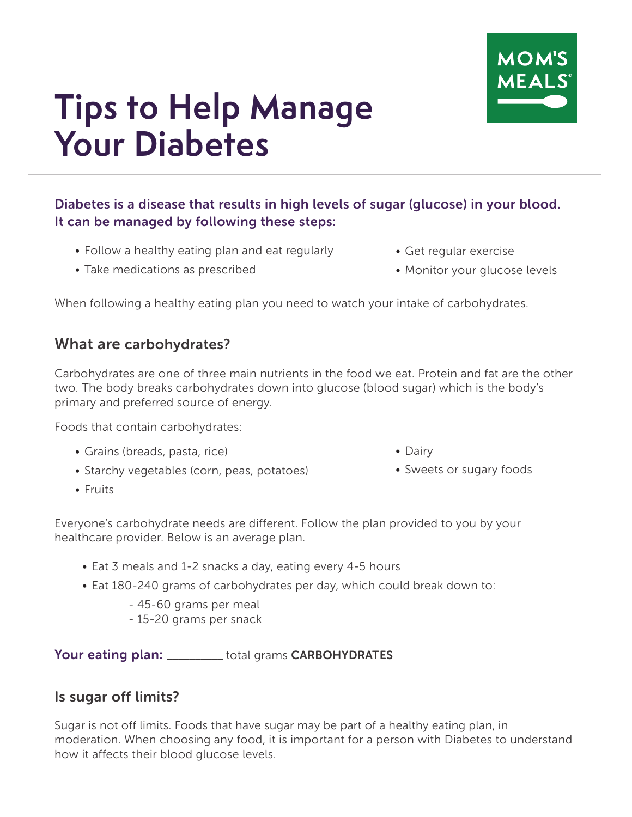

# **Tips to Help Manage Your Diabetes**

### Diabetes is a disease that results in high levels of sugar (glucose) in your blood. It can be managed by following these steps:

- Follow a healthy eating plan and eat regularly
- Take medications as prescribed
- Get regular exercise
- Monitor your glucose levels

When following a healthy eating plan you need to watch your intake of carbohydrates.

## What are carbohydrates?

Carbohydrates are one of three main nutrients in the food we eat. Protein and fat are the other two. The body breaks carbohydrates down into glucose (blood sugar) which is the body's primary and preferred source of energy.

Foods that contain carbohydrates:

- Grains (breads, pasta, rice)
- Starchy vegetables (corn, peas, potatoes)
- Fruits
- Dairy
- Sweets or sugary foods

Everyone's carbohydrate needs are different. Follow the plan provided to you by your healthcare provider. Below is an average plan.

- Eat 3 meals and 1-2 snacks a day, eating every 4-5 hours
- Eat 180-240 grams of carbohydrates per day, which could break down to:
	- 45-60 grams per meal
	- 15-20 grams per snack

Your eating plan: \_\_\_\_\_\_\_\_\_\_ total grams CARBOHYDRATES

#### Is sugar off limits?

Sugar is not off limits. Foods that have sugar may be part of a healthy eating plan, in moderation. When choosing any food, it is important for a person with Diabetes to understand how it affects their blood glucose levels.